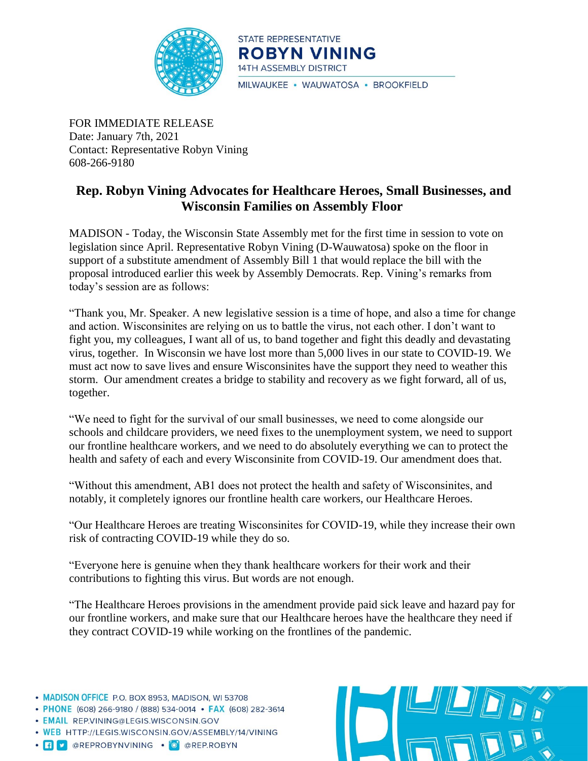

STATE REPRESENTATIVE **ROBYN VINING** 14TH ASSEMBLY DISTRICT

MILWAUKEE · WAUWATOSA · BROOKFIELD

FOR IMMEDIATE RELEASE Date: January 7th, 2021 Contact: Representative Robyn Vining 608-266-9180

## **Rep. Robyn Vining Advocates for Healthcare Heroes, Small Businesses, and Wisconsin Families on Assembly Floor**

MADISON - Today, the Wisconsin State Assembly met for the first time in session to vote on legislation since April. Representative Robyn Vining (D-Wauwatosa) spoke on the floor in support of a substitute amendment of Assembly Bill 1 that would replace the bill with the proposal introduced earlier this week by Assembly Democrats. Rep. Vining's remarks from today's session are as follows:

"Thank you, Mr. Speaker. A new legislative session is a time of hope, and also a time for change and action. Wisconsinites are relying on us to battle the virus, not each other. I don't want to fight you, my colleagues, I want all of us, to band together and fight this deadly and devastating virus, together. In Wisconsin we have lost more than 5,000 lives in our state to COVID-19. We must act now to save lives and ensure Wisconsinites have the support they need to weather this storm. Our amendment creates a bridge to stability and recovery as we fight forward, all of us, together.

"We need to fight for the survival of our small businesses, we need to come alongside our schools and childcare providers, we need fixes to the unemployment system, we need to support our frontline healthcare workers, and we need to do absolutely everything we can to protect the health and safety of each and every Wisconsinite from COVID-19. Our amendment does that.

"Without this amendment, AB1 does not protect the health and safety of Wisconsinites, and notably, it completely ignores our frontline health care workers, our Healthcare Heroes.

"Our Healthcare Heroes are treating Wisconsinites for COVID-19, while they increase their own risk of contracting COVID-19 while they do so.

"Everyone here is genuine when they thank healthcare workers for their work and their contributions to fighting this virus. But words are not enough.

"The Healthcare Heroes provisions in the amendment provide paid sick leave and hazard pay for our frontline workers, and make sure that our Healthcare heroes have the healthcare they need if they contract COVID-19 while working on the frontlines of the pandemic.

- MADISON OFFICE P.O. BOX 8953, MADISON, WI 53708
- PHONE (608) 266-9180 / (888) 534-0014 FAX (608) 282-3614
- · EMAIL REP.VINING@LEGIS.WISCONSIN.GOV
- . WEB HTTP://LEGIS.WISCONSIN.GOV/ASSEMBLY/14/VINING
- · **f v** @REPROBYNVINING · O @REP.ROBYN